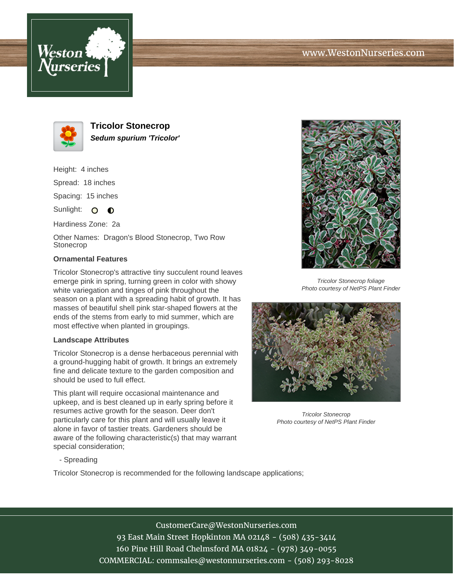



**Tricolor Stonecrop Sedum spurium 'Tricolor'**

Height: 4 inches

Spread: 18 inches

Spacing: 15 inches

Sunlight:  $\mathbf{O}$  $\bullet$ 

Hardiness Zone: 2a

Other Names: Dragon's Blood Stonecrop, Two Row Stonecrop

## **Ornamental Features**

Tricolor Stonecrop's attractive tiny succulent round leaves emerge pink in spring, turning green in color with showy white variegation and tinges of pink throughout the season on a plant with a spreading habit of growth. It has masses of beautiful shell pink star-shaped flowers at the ends of the stems from early to mid summer, which are most effective when planted in groupings.

## **Landscape Attributes**

Tricolor Stonecrop is a dense herbaceous perennial with a ground-hugging habit of growth. It brings an extremely fine and delicate texture to the garden composition and should be used to full effect.

This plant will require occasional maintenance and upkeep, and is best cleaned up in early spring before it resumes active growth for the season. Deer don't particularly care for this plant and will usually leave it alone in favor of tastier treats. Gardeners should be aware of the following characteristic(s) that may warrant special consideration;



Tricolor Stonecrop foliage Photo courtesy of NetPS Plant Finder



Tricolor Stonecrop Photo courtesy of NetPS Plant Finder

- Spreading

Tricolor Stonecrop is recommended for the following landscape applications;

## CustomerCare@WestonNurseries.com

93 East Main Street Hopkinton MA 02148 - (508) 435-3414 160 Pine Hill Road Chelmsford MA 01824 - (978) 349-0055 COMMERCIAL: commsales@westonnurseries.com - (508) 293-8028